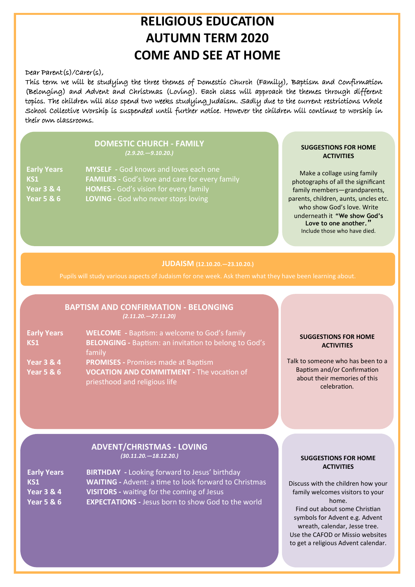## **RELIGIOUS EDUCATION AUTUMN TERM 2020 COME AND SEE AT HOME**

### Dear Parent(s)/Carer(s),

This term we will be studying the three themes of Domestic Church (Family), Baptism and Confirmation (Belonging) and Advent and Christmas (Loving). Each class will approach the themes through different topics. The children will also spend two weeks studying Judaism. Sadly due to the current restrictions Whole School Collective Worship is suspended until further notice. However the children will continue to worship in their own classrooms.

### **DOMESTIC CHURCH - FAMILY** *(2.9.20.—9.10.20.)*

| <b>Early Years</b>    | MYSELF - God knows and loves each one                  |
|-----------------------|--------------------------------------------------------|
| KS1                   | <b>FAMILIES</b> - God's love and care for every family |
| <b>Year 3 &amp; 4</b> | <b>HOMES</b> - God's vision for every family           |
| <b>Year 5 &amp; 6</b> | LOVING - God who never stops loving                    |

### **SUGGESTIONS FOR HOME ACTIVITIES**

Make a collage using family photographs of all the significant family members—grandparents, parents, children, aunts, uncles etc. who show God's love. Write underneath it **"We show God's**  Love to one another.<sup></sup> Include those who have died.

### **JUDAISM (12.10.20.—23.10.20.)**

### **BAPTISM AND CONFIRMATION - BELONGING**  *(2.11.20.—27.11.20)*

| <b>Early Years</b>    | <b>WELCOME</b> - Baptism: a welcome to God's family          |
|-----------------------|--------------------------------------------------------------|
| <b>KS1</b>            | <b>BELONGING - Baptism: an invitation to belong to God's</b> |
|                       | family                                                       |
| <b>Year 3 &amp; 4</b> | <b>PROMISES - Promises made at Baptism</b>                   |
| <b>Year 5 &amp; 6</b> | VOCATION AND COMMITMENT - The vocation of                    |
|                       | priesthood and religious life                                |

### **SUGGESTIONS FOR HOME ACTIVITIES**

Talk to someone who has been to a Baptism and/or Confirmation about their memories of this celebration*.*

### **ADVENT/CHRISTMAS - LOVING**  *(30.11.20.—18.12.20.)*

**Early Years BIRTHDAY -** Looking forward to Jesus' birthday **KS1** WAITING - Advent: a time to look forward to Christmas **Year 3 & 4 VISITORS -** waiting for the coming of Jesus **Year 5 & 6 EXPECTATIONS -** Jesus born to show God to the world

### **SUGGESTIONS FOR HOME ACTIVITIES**

Discuss with the children how your family welcomes visitors to your home. Find out about some Christian symbols for Advent e.g. Advent wreath, calendar, Jesse tree. Use the CAFOD or Missio websites to get a religious Advent calendar.